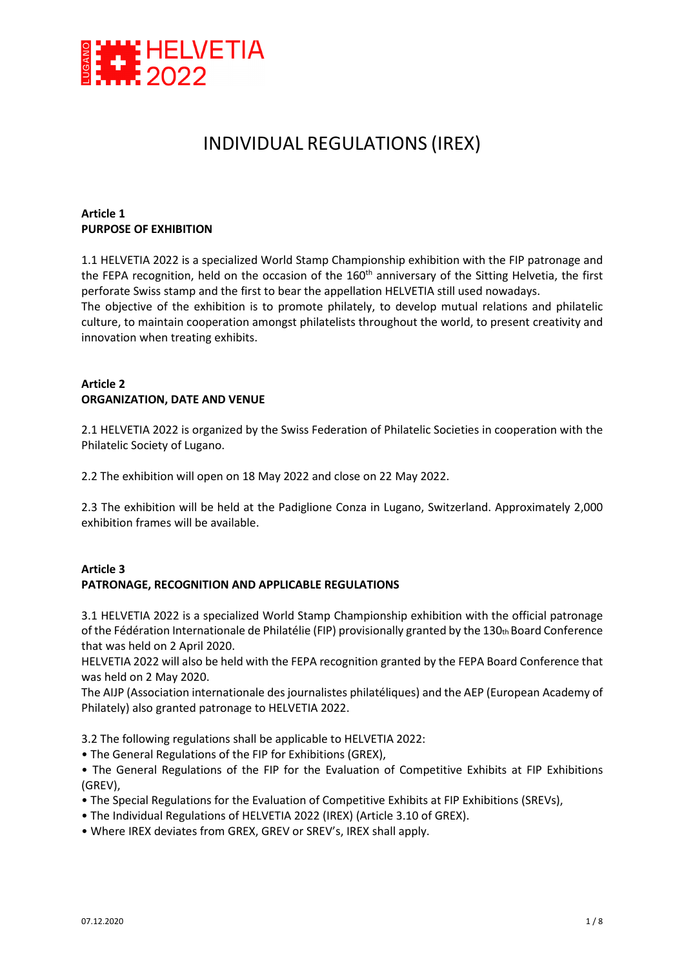

# INDIVIDUAL REGULATIONS (IREX)

#### **Article 1 PURPOSE OF EXHIBITION**

1.1 HELVETIA 2022 is a specialized World Stamp Championship exhibition with the FIP patronage and the FEPA recognition, held on the occasion of the 160<sup>th</sup> anniversary of the Sitting Helvetia, the first perforate Swiss stamp and the first to bear the appellation HELVETIA still used nowadays.

The objective of the exhibition is to promote philately, to develop mutual relations and philatelic culture, to maintain cooperation amongst philatelists throughout the world, to present creativity and innovation when treating exhibits.

#### **Article 2 ORGANIZATION, DATE AND VENUE**

2.1 HELVETIA 2022 is organized by the Swiss Federation of Philatelic Societies in cooperation with the Philatelic Society of Lugano.

2.2 The exhibition will open on 18 May 2022 and close on 22 May 2022.

2.3 The exhibition will be held at the Padiglione Conza in Lugano, Switzerland. Approximately 2,000 exhibition frames will be available.

#### **Article 3 PATRONAGE, RECOGNITION AND APPLICABLE REGULATIONS**

3.1 HELVETIA 2022 is a specialized World Stamp Championship exhibition with the official patronage of the Fédération Internationale de Philatélie (FIP) provisionally granted by the 130th Board Conference that was held on 2 April 2020.

HELVETIA 2022 will also be held with the FEPA recognition granted by the FEPA Board Conference that was held on 2 May 2020.

The AIJP (Association internationale des journalistes philatéliques) and the AEP (European Academy of Philately) also granted patronage to HELVETIA 2022.

3.2 The following regulations shall be applicable to HELVETIA 2022:

- The General Regulations of the FIP for Exhibitions (GREX),
- The General Regulations of the FIP for the Evaluation of Competitive Exhibits at FIP Exhibitions (GREV),
- The Special Regulations for the Evaluation of Competitive Exhibits at FIP Exhibitions (SREVs),
- The Individual Regulations of HELVETIA 2022 (IREX) (Article 3.10 of GREX).
- Where IREX deviates from GREX, GREV or SREV's, IREX shall apply.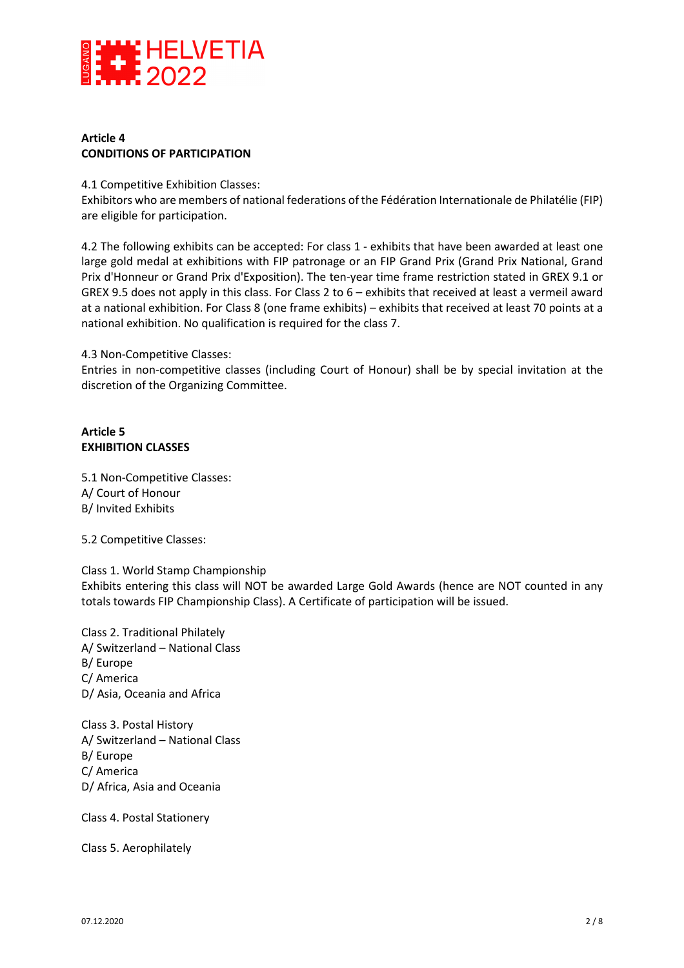

#### **Article 4 CONDITIONS OF PARTICIPATION**

4.1 Competitive Exhibition Classes:

Exhibitors who are members of national federations of the Fédération Internationale de Philatélie (FIP) are eligible for participation.

4.2 The following exhibits can be accepted: For class 1 - exhibits that have been awarded at least one large gold medal at exhibitions with FIP patronage or an FIP Grand Prix (Grand Prix National, Grand Prix d'Honneur or Grand Prix d'Exposition). The ten-year time frame restriction stated in GREX 9.1 or GREX 9.5 does not apply in this class. For Class 2 to 6 – exhibits that received at least a vermeil award at a national exhibition. For Class 8 (one frame exhibits) – exhibits that received at least 70 points at a national exhibition. No qualification is required for the class 7.

#### 4.3 Non-Competitive Classes:

Entries in non-competitive classes (including Court of Honour) shall be by special invitation at the discretion of the Organizing Committee.

## **Article 5 EXHIBITION CLASSES**

5.1 Non-Competitive Classes: A/ Court of Honour B/ Invited Exhibits

5.2 Competitive Classes:

#### Class 1. World Stamp Championship

Exhibits entering this class will NOT be awarded Large Gold Awards (hence are NOT counted in any totals towards FIP Championship Class). A Certificate of participation will be issued.

Class 2. Traditional Philately A/ Switzerland – National Class B/ Europe C/ America D/ Asia, Oceania and Africa

Class 3. Postal History A/ Switzerland – National Class B/ Europe C/ America D/ Africa, Asia and Oceania

Class 4. Postal Stationery

Class 5. Aerophilately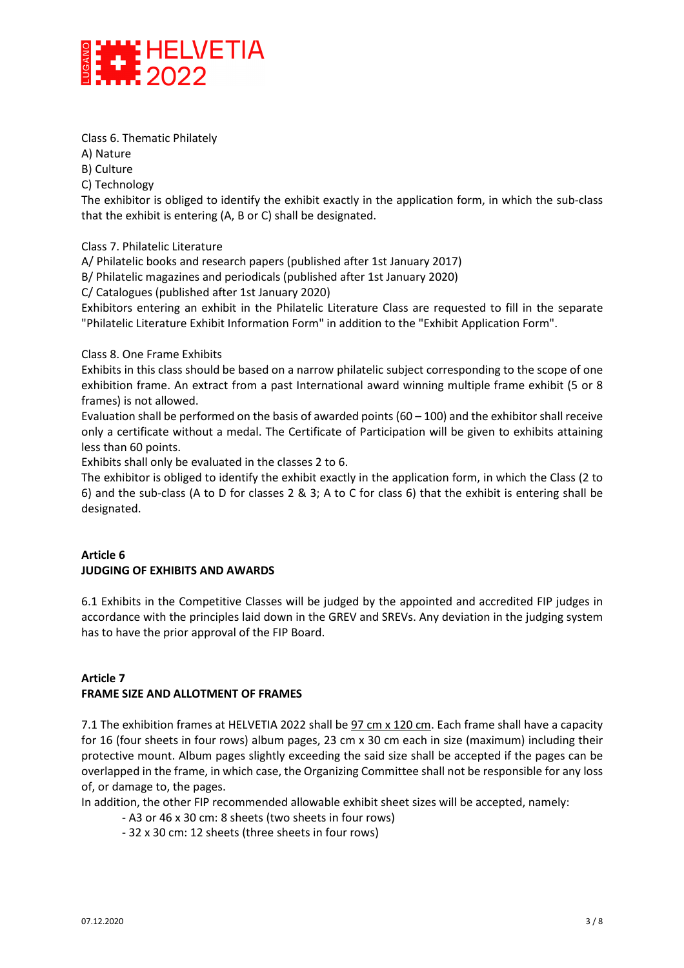

Class 6. Thematic Philately

A) Nature

B) Culture

C) Technology

The exhibitor is obliged to identify the exhibit exactly in the application form, in which the sub-class that the exhibit is entering (A, B or C) shall be designated.

Class 7. Philatelic Literature

A/ Philatelic books and research papers (published after 1st January 2017)

B/ Philatelic magazines and periodicals (published after 1st January 2020)

C/ Catalogues (published after 1st January 2020)

Exhibitors entering an exhibit in the Philatelic Literature Class are requested to fill in the separate "Philatelic Literature Exhibit Information Form" in addition to the "Exhibit Application Form".

#### Class 8. One Frame Exhibits

Exhibits in this class should be based on a narrow philatelic subject corresponding to the scope of one exhibition frame. An extract from a past International award winning multiple frame exhibit (5 or 8 frames) is not allowed.

Evaluation shall be performed on the basis of awarded points  $(60 - 100)$  and the exhibitor shall receive only a certificate without a medal. The Certificate of Participation will be given to exhibits attaining less than 60 points.

Exhibits shall only be evaluated in the classes 2 to 6.

The exhibitor is obliged to identify the exhibit exactly in the application form, in which the Class (2 to 6) and the sub-class (A to D for classes 2 & 3; A to C for class 6) that the exhibit is entering shall be designated.

# **Article 6 JUDGING OF EXHIBITS AND AWARDS**

6.1 Exhibits in the Competitive Classes will be judged by the appointed and accredited FIP judges in accordance with the principles laid down in the GREV and SREVs. Any deviation in the judging system has to have the prior approval of the FIP Board.

#### **Article 7 FRAME SIZE AND ALLOTMENT OF FRAMES**

7.1 The exhibition frames at HELVETIA 2022 shall be 97 cm x 120 cm. Each frame shall have a capacity for 16 (four sheets in four rows) album pages, 23 cm x 30 cm each in size (maximum) including their protective mount. Album pages slightly exceeding the said size shall be accepted if the pages can be overlapped in the frame, in which case, the Organizing Committee shall not be responsible for any loss of, or damage to, the pages.

In addition, the other FIP recommended allowable exhibit sheet sizes will be accepted, namely:

- A3 or 46 x 30 cm: 8 sheets (two sheets in four rows)
- 32 x 30 cm: 12 sheets (three sheets in four rows)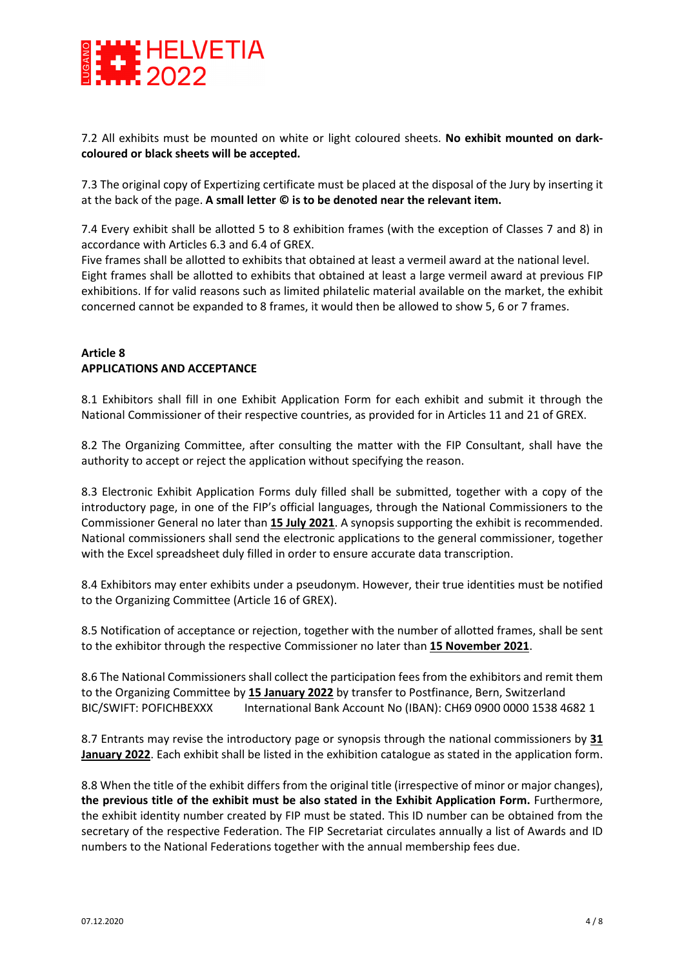

7.2 All exhibits must be mounted on white or light coloured sheets. **No exhibit mounted on darkcoloured or black sheets will be accepted.**

7.3 The original copy of Expertizing certificate must be placed at the disposal of the Jury by inserting it at the back of the page. **A small letter © is to be denoted near the relevant item.**

7.4 Every exhibit shall be allotted 5 to 8 exhibition frames (with the exception of Classes 7 and 8) in accordance with Articles 6.3 and 6.4 of GREX.

Five frames shall be allotted to exhibits that obtained at least a vermeil award at the national level. Eight frames shall be allotted to exhibits that obtained at least a large vermeil award at previous FIP exhibitions. If for valid reasons such as limited philatelic material available on the market, the exhibit concerned cannot be expanded to 8 frames, it would then be allowed to show 5, 6 or 7 frames.

## **Article 8 APPLICATIONS AND ACCEPTANCE**

8.1 Exhibitors shall fill in one Exhibit Application Form for each exhibit and submit it through the National Commissioner of their respective countries, as provided for in Articles 11 and 21 of GREX.

8.2 The Organizing Committee, after consulting the matter with the FIP Consultant, shall have the authority to accept or reject the application without specifying the reason.

8.3 Electronic Exhibit Application Forms duly filled shall be submitted, together with a copy of the introductory page, in one of the FIP's official languages, through the National Commissioners to the Commissioner General no later than **15 July 2021**. A synopsis supporting the exhibit is recommended. National commissioners shall send the electronic applications to the general commissioner, together with the Excel spreadsheet duly filled in order to ensure accurate data transcription.

8.4 Exhibitors may enter exhibits under a pseudonym. However, their true identities must be notified to the Organizing Committee (Article 16 of GREX).

8.5 Notification of acceptance or rejection, together with the number of allotted frames, shall be sent to the exhibitor through the respective Commissioner no later than **15 November 2021**.

8.6 The National Commissioners shall collect the participation fees from the exhibitors and remit them to the Organizing Committee by **15 January 2022** by transfer to Postfinance, Bern, Switzerland BIC/SWIFT: POFICHBEXXX International Bank Account No (IBAN): CH69 0900 0000 1538 4682 1

8.7 Entrants may revise the introductory page or synopsis through the national commissioners by **31 January 2022**. Each exhibit shall be listed in the exhibition catalogue as stated in the application form.

8.8 When the title of the exhibit differs from the original title (irrespective of minor or major changes), **the previous title of the exhibit must be also stated in the Exhibit Application Form.** Furthermore, the exhibit identity number created by FIP must be stated. This ID number can be obtained from the secretary of the respective Federation. The FIP Secretariat circulates annually a list of Awards and ID numbers to the National Federations together with the annual membership fees due.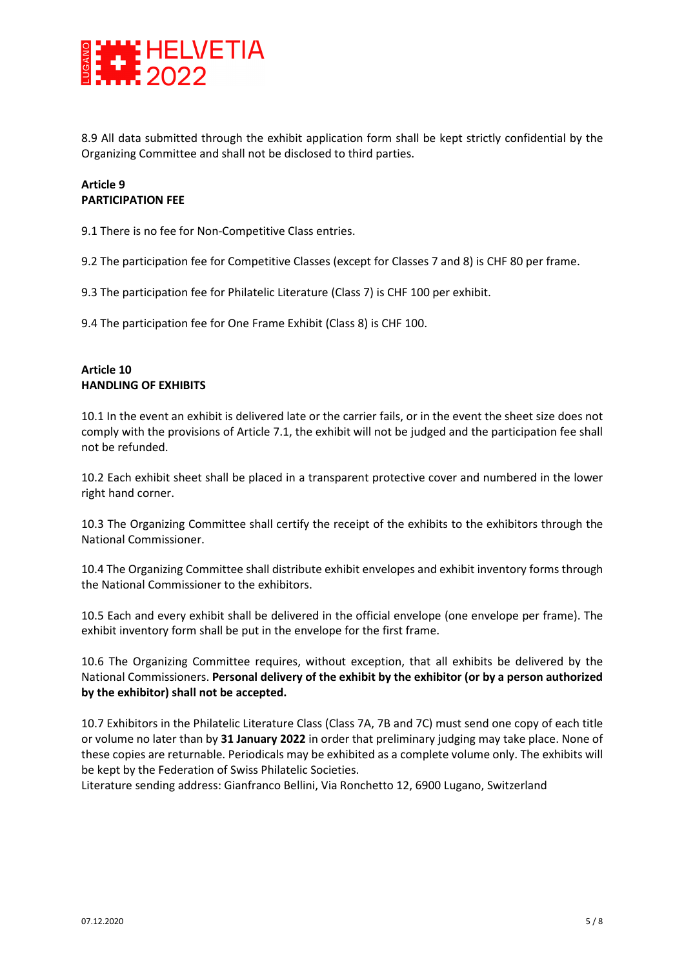

8.9 All data submitted through the exhibit application form shall be kept strictly confidential by the Organizing Committee and shall not be disclosed to third parties.

## **Article 9 PARTICIPATION FEE**

9.1 There is no fee for Non-Competitive Class entries.

9.2 The participation fee for Competitive Classes (except for Classes 7 and 8) is CHF 80 per frame.

9.3 The participation fee for Philatelic Literature (Class 7) is CHF 100 per exhibit.

9.4 The participation fee for One Frame Exhibit (Class 8) is CHF 100.

#### **Article 10 HANDLING OF EXHIBITS**

10.1 In the event an exhibit is delivered late or the carrier fails, or in the event the sheet size does not comply with the provisions of Article 7.1, the exhibit will not be judged and the participation fee shall not be refunded.

10.2 Each exhibit sheet shall be placed in a transparent protective cover and numbered in the lower right hand corner.

10.3 The Organizing Committee shall certify the receipt of the exhibits to the exhibitors through the National Commissioner.

10.4 The Organizing Committee shall distribute exhibit envelopes and exhibit inventory forms through the National Commissioner to the exhibitors.

10.5 Each and every exhibit shall be delivered in the official envelope (one envelope per frame). The exhibit inventory form shall be put in the envelope for the first frame.

10.6 The Organizing Committee requires, without exception, that all exhibits be delivered by the National Commissioners. **Personal delivery of the exhibit by the exhibitor (or by a person authorized by the exhibitor) shall not be accepted.** 

10.7 Exhibitors in the Philatelic Literature Class (Class 7A, 7B and 7C) must send one copy of each title or volume no later than by **31 January 2022** in order that preliminary judging may take place. None of these copies are returnable. Periodicals may be exhibited as a complete volume only. The exhibits will be kept by the Federation of Swiss Philatelic Societies.

Literature sending address: Gianfranco Bellini, Via Ronchetto 12, 6900 Lugano, Switzerland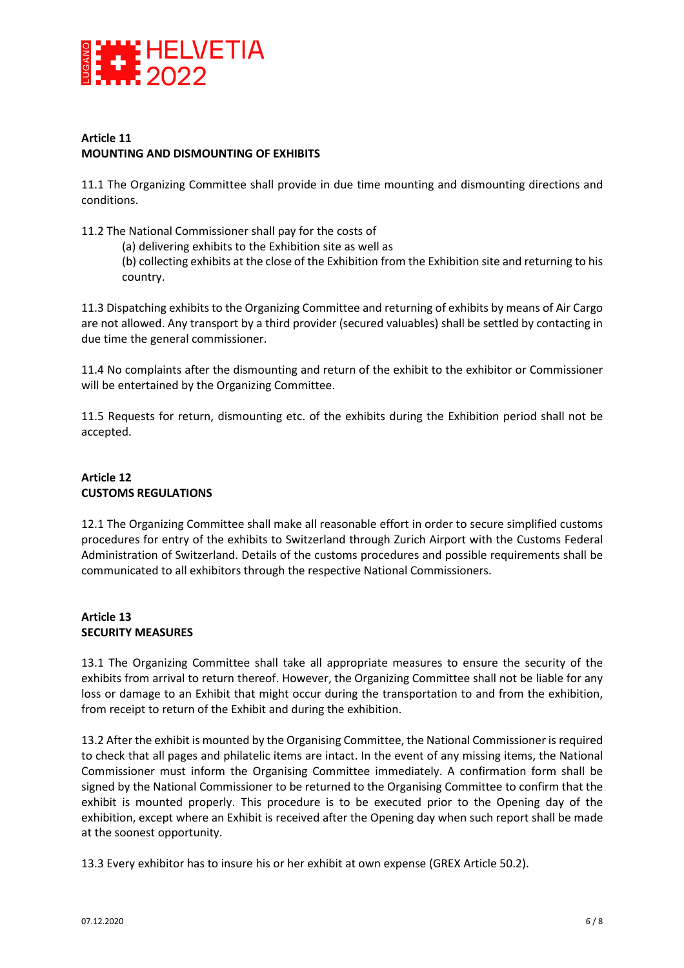

#### **Article 11 MOUNTING AND DISMOUNTING OF EXHIBITS**

11.1 The Organizing Committee shall provide in due time mounting and dismounting directions and conditions.

11.2 The National Commissioner shall pay for the costs of

(a) delivering exhibits to the Exhibition site as well as (b) collecting exhibits at the close of the Exhibition from the Exhibition site and returning to his country.

11.3 Dispatching exhibits to the Organizing Committee and returning of exhibits by means of Air Cargo are not allowed. Any transport by a third provider (secured valuables) shall be settled by contacting in due time the general commissioner.

11.4 No complaints after the dismounting and return of the exhibit to the exhibitor or Commissioner will be entertained by the Organizing Committee.

11.5 Requests for return, dismounting etc. of the exhibits during the Exhibition period shall not be accepted.

# **Article 12 CUSTOMS REGULATIONS**

12.1 The Organizing Committee shall make all reasonable effort in order to secure simplified customs procedures for entry of the exhibits to Switzerland through Zurich Airport with the Customs Federal Administration of Switzerland. Details of the customs procedures and possible requirements shall be communicated to all exhibitors through the respective National Commissioners.

#### **Article 13 SECURITY MEASURES**

13.1 The Organizing Committee shall take all appropriate measures to ensure the security of the exhibits from arrival to return thereof. However, the Organizing Committee shall not be liable for any loss or damage to an Exhibit that might occur during the transportation to and from the exhibition, from receipt to return of the Exhibit and during the exhibition.

13.2 After the exhibit is mounted by the Organising Committee, the National Commissioner is required to check that all pages and philatelic items are intact. In the event of any missing items, the National Commissioner must inform the Organising Committee immediately. A confirmation form shall be signed by the National Commissioner to be returned to the Organising Committee to confirm that the exhibit is mounted properly. This procedure is to be executed prior to the Opening day of the exhibition, except where an Exhibit is received after the Opening day when such report shall be made at the soonest opportunity.

13.3 Every exhibitor has to insure his or her exhibit at own expense (GREX Article 50.2).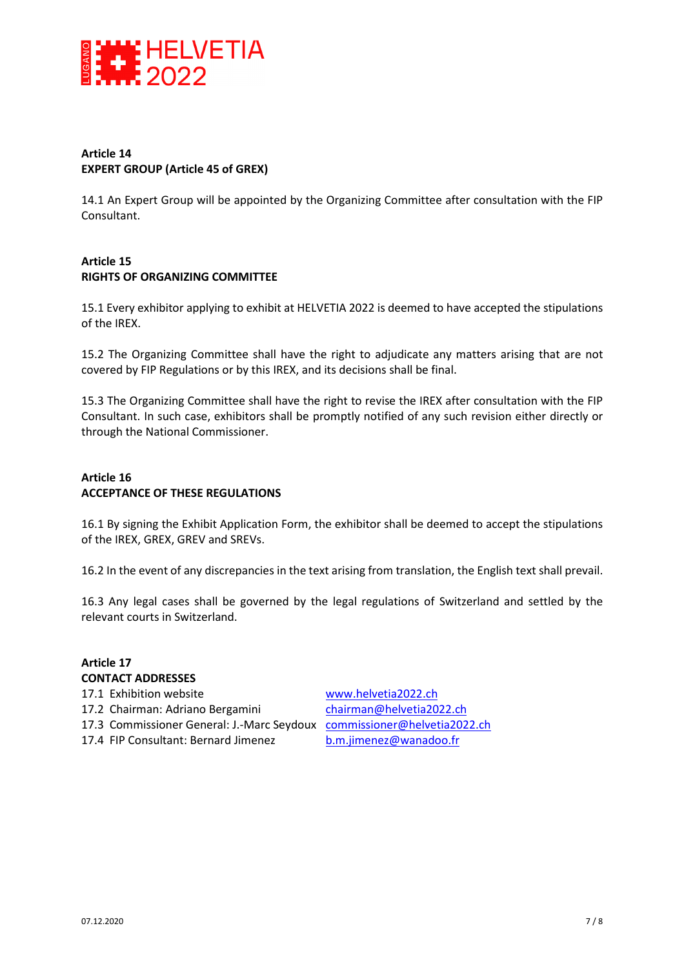

#### **Article 14 EXPERT GROUP (Article 45 of GREX)**

14.1 An Expert Group will be appointed by the Organizing Committee after consultation with the FIP Consultant.

## **Article 15 RIGHTS OF ORGANIZING COMMITTEE**

15.1 Every exhibitor applying to exhibit at HELVETIA 2022 is deemed to have accepted the stipulations of the IREX.

15.2 The Organizing Committee shall have the right to adjudicate any matters arising that are not covered by FIP Regulations or by this IREX, and its decisions shall be final.

15.3 The Organizing Committee shall have the right to revise the IREX after consultation with the FIP Consultant. In such case, exhibitors shall be promptly notified of any such revision either directly or through the National Commissioner.

#### **Article 16 ACCEPTANCE OF THESE REGULATIONS**

16.1 By signing the Exhibit Application Form, the exhibitor shall be deemed to accept the stipulations of the IREX, GREX, GREV and SREVs.

16.2 In the event of any discrepancies in the text arising from translation, the English text shall prevail.

16.3 Any legal cases shall be governed by the legal regulations of Switzerland and settled by the relevant courts in Switzerland.

# **Article 17 CONTACT ADDRESSES**  17.1 Exhibition website www.helvetia2022.ch 17.2 Chairman: Adriano Bergamini chairman@helvetia2022.ch 17.3 Commissioner General: J.-Marc Seydoux commissioner@helvetia2022.ch 17.4 FIP Consultant: Bernard Jimenez b.m.jimenez@wanadoo.fr